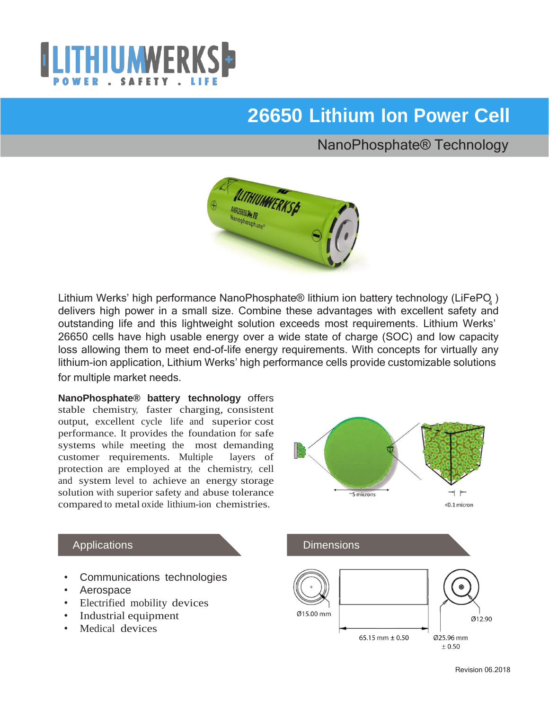

# **26650 Lithium Ion Power Cell**

## NanoPhosphate® Technology



Lithium Werks' high performance NanoPhosphate® lithium ion battery technology (LiFePO<sub>4</sub>) delivers high power in a small size. Combine these advantages with excellent safety and outstanding life and this lightweight solution exceeds most requirements. Lithium Werks' 26650 cells have high usable energy over a wide state of charge (SOC) and low capacity loss allowing them to meet end-of-life energy requirements. With concepts for virtually any lithium-ion application, Lithium Werks' high performance cells provide customizable solutions for multiple market needs.

**NanoPhosphate® battery technology** offers stable chemistry, faster charging, consistent output, excellent cycle life and superior cost performance. It provides the foundation for safe systems while meeting the most demanding customer requirements. Multiple layers of protection are employed at the chemistry, cell and system level to achieve an energy storage solution with superior safety and abuse tolerance compared to metal oxide lithium-ion chemistries.



#### **Applications**

- Communications technologies
- Aerospace
- Electrified mobility devices
- Industrial equipment
- Medical devices